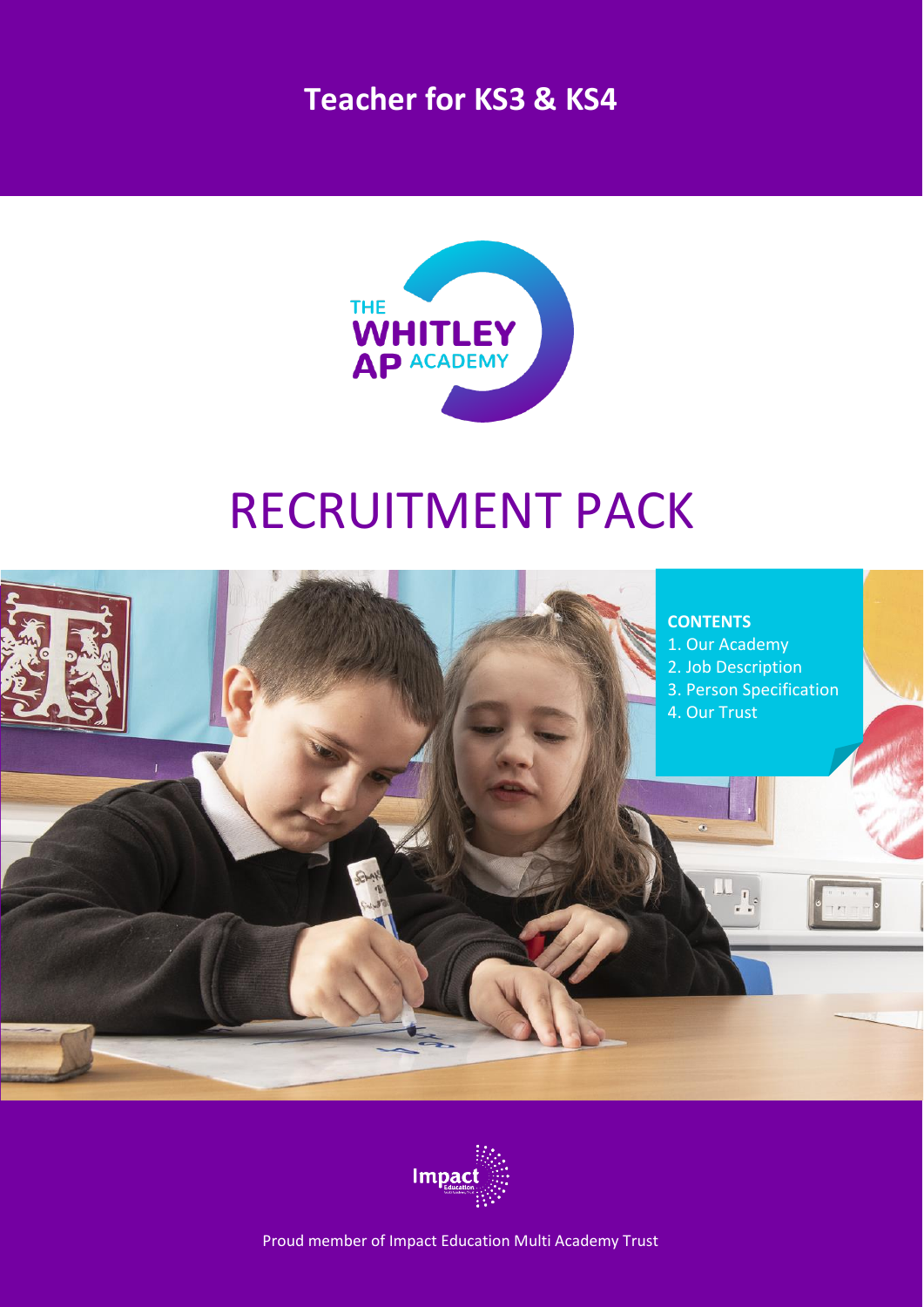## **Teacher for KS3 & KS4**



# RECRUITMENT PACK





Proud member of Impact Education Multi Academy Trust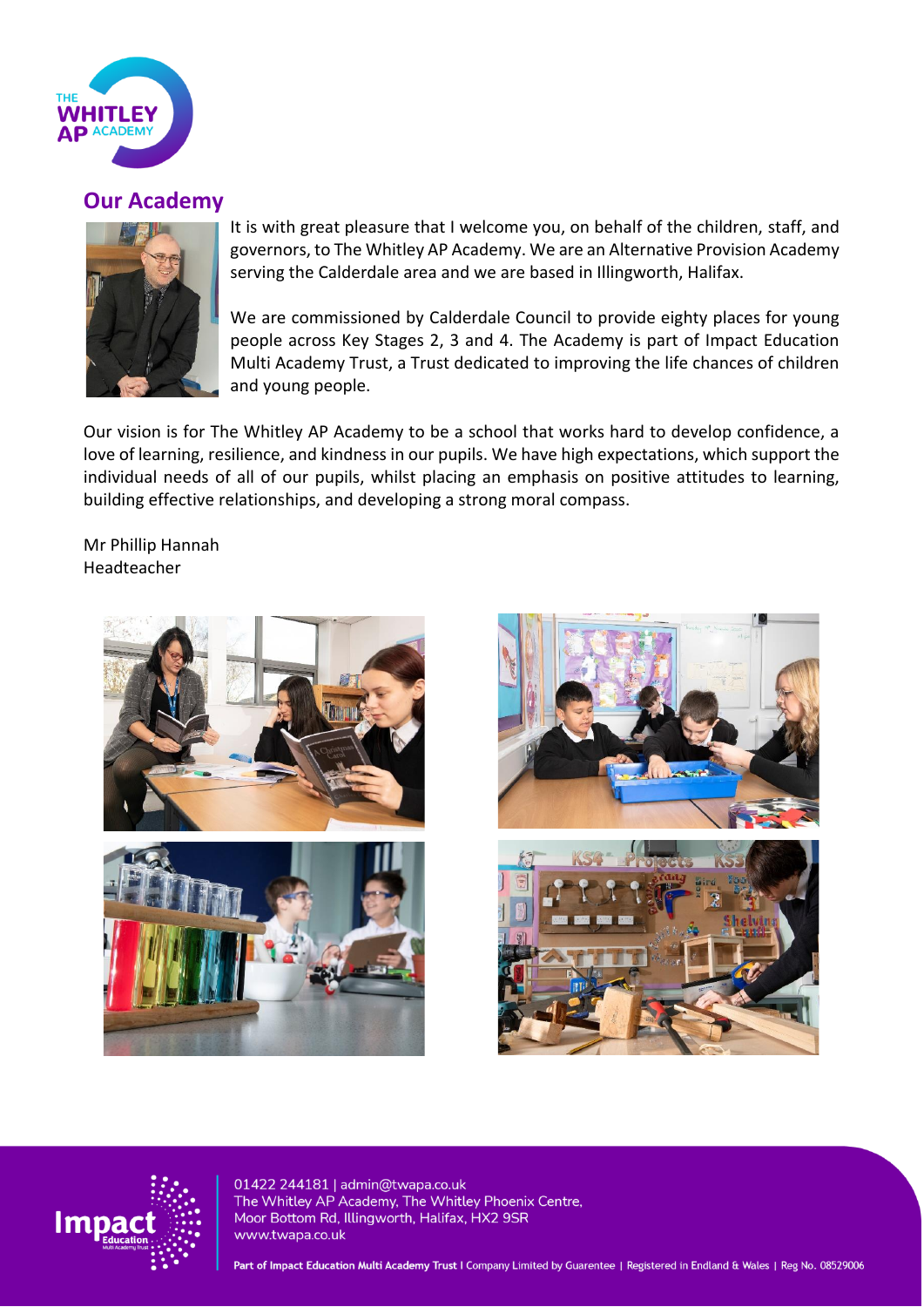

## **Our Academy**



It is with great pleasure that I welcome you, on behalf of the children, staff, and governors, to The Whitley AP Academy. We are an Alternative Provision Academy serving the Calderdale area and we are based in Illingworth, Halifax.

We are commissioned by Calderdale Council to provide eighty places for young people across Key Stages 2, 3 and 4. The Academy is part of Impact Education Multi Academy Trust, a Trust dedicated to improving the life chances of children and young people.

Our vision is for The Whitley AP Academy to be a school that works hard to develop confidence, a love of learning, resilience, and kindness in our pupils. We have high expectations, which support the individual needs of all of our pupils, whilst placing an emphasis on positive attitudes to learning, building effective relationships, and developing a strong moral compass.

Mr Phillip Hannah Headteacher







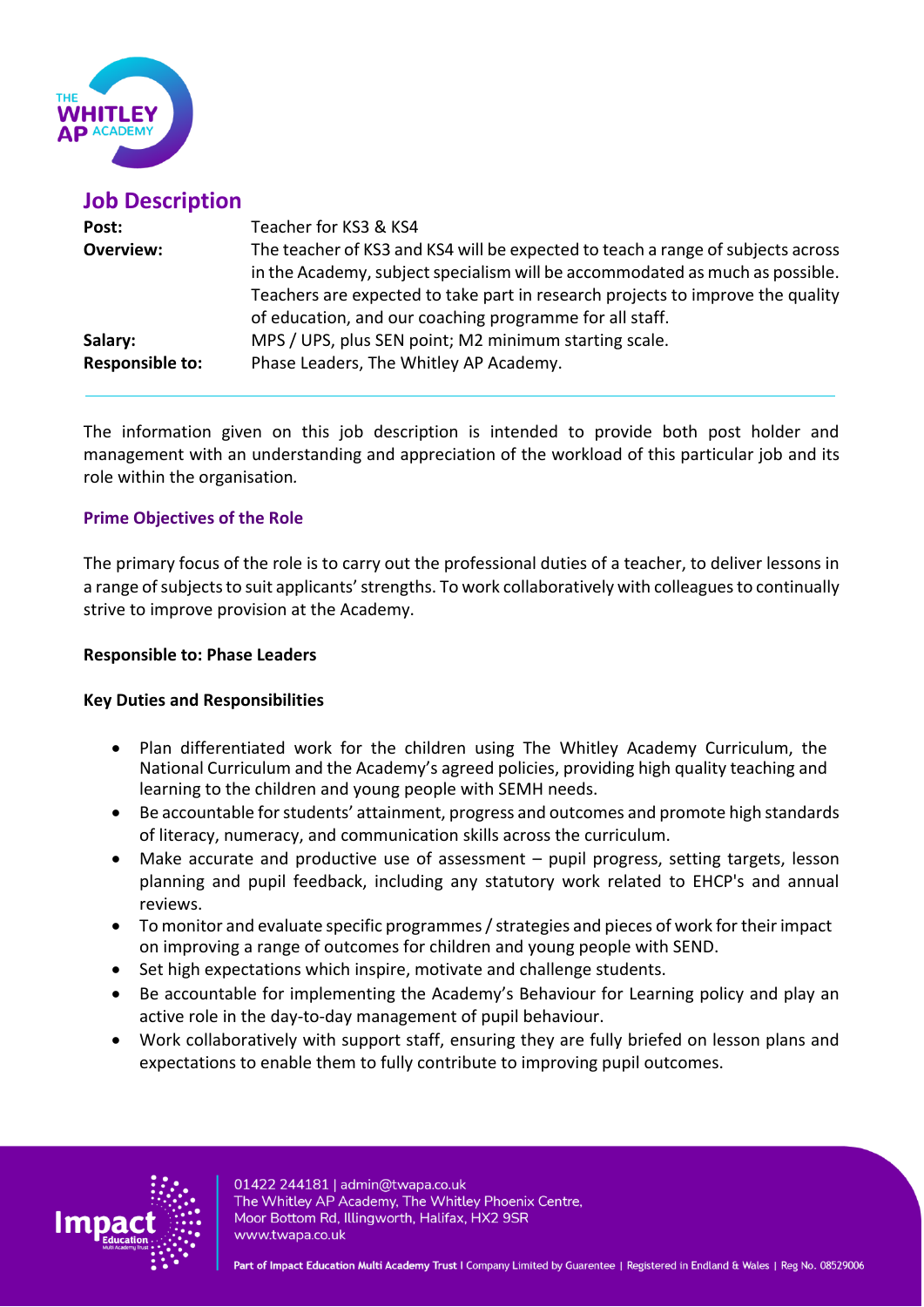

| <b>Job Description</b> |                                                                                                                                                                                                                                                                                                              |
|------------------------|--------------------------------------------------------------------------------------------------------------------------------------------------------------------------------------------------------------------------------------------------------------------------------------------------------------|
| Post:                  | Teacher for KS3 & KS4                                                                                                                                                                                                                                                                                        |
| <b>Overview:</b>       | The teacher of KS3 and KS4 will be expected to teach a range of subjects across<br>in the Academy, subject specialism will be accommodated as much as possible.<br>Teachers are expected to take part in research projects to improve the quality<br>of education, and our coaching programme for all staff. |
| Salary:                | MPS / UPS, plus SEN point; M2 minimum starting scale.                                                                                                                                                                                                                                                        |
| <b>Responsible to:</b> | Phase Leaders, The Whitley AP Academy.                                                                                                                                                                                                                                                                       |

The information given on this job description is intended to provide both post holder and management with an understanding and appreciation of the workload of this particular job and its role within the organisation*.* 

### **Prime Objectives of the Role**

The primary focus of the role is to carry out the professional duties of a teacher, to deliver lessons in a range of subjects to suit applicants' strengths. To work collaboratively with colleagues to continually strive to improve provision at the Academy.

#### **Responsible to: Phase Leaders**

#### **Key Duties and Responsibilities**

- Plan differentiated work for the children using The Whitley Academy Curriculum, the National Curriculum and the Academy's agreed policies, providing high quality teaching and learning to the children and young people with SEMH needs.
- Be accountable for students' attainment, progress and outcomes and promote high standards of literacy, numeracy, and communication skills across the curriculum.
- Make accurate and productive use of assessment  $-$  pupil progress, setting targets, lesson planning and pupil feedback, including any statutory work related to EHCP's and annual reviews.
- To monitor and evaluate specific programmes / strategies and pieces of work for their impact on improving a range of outcomes for children and young people with SEND.
- Set high expectations which inspire, motivate and challenge students.
- Be accountable for implementing the Academy's Behaviour for Learning policy and play an active role in the day-to-day management of pupil behaviour.
- Work collaboratively with support staff, ensuring they are fully briefed on lesson plans and expectations to enable them to fully contribute to improving pupil outcomes.

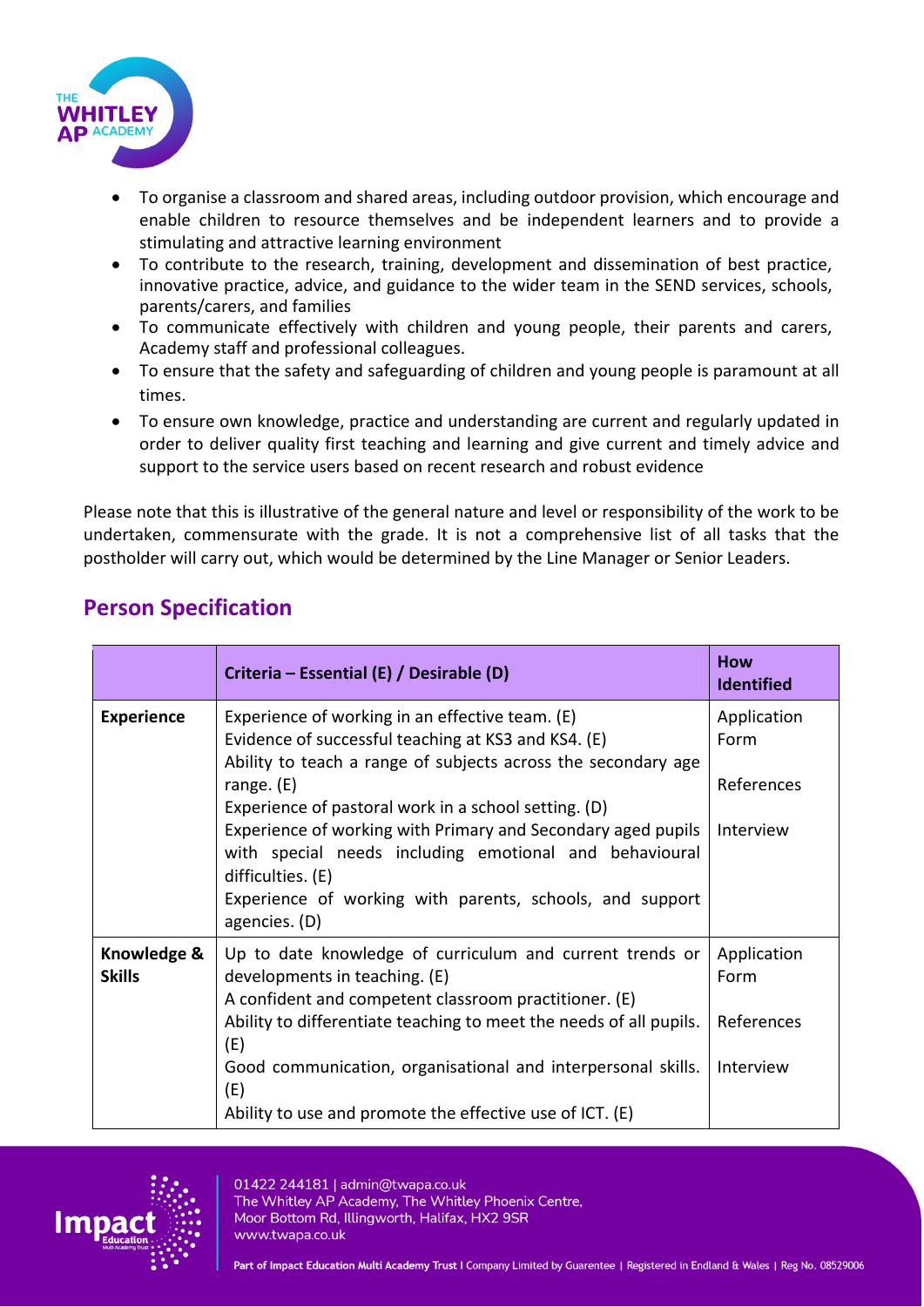

- To organise a classroom and shared areas, including outdoor provision, which encourage and enable children to resource themselves and be independent learners and to provide a stimulating and attractive learning environment
- To contribute to the research, training, development and dissemination of best practice, innovative practice, advice, and guidance to the wider team in the SEND services, schools, parents/carers, and families
- To communicate effectively with children and young people, their parents and carers, Academy staff and professional colleagues.
- To ensure that the safety and safeguarding of children and young people is paramount at all times.
- To ensure own knowledge, practice and understanding are current and regularly updated in order to deliver quality first teaching and learning and give current and timely advice and support to the service users based on recent research and robust evidence

Please note that this is illustrative of the general nature and level or responsibility of the work to be undertaken, commensurate with the grade. It is not a comprehensive list of all tasks that the postholder will carry out, which would be determined by the Line Manager or Senior Leaders.

|                              | Criteria – Essential (E) / Desirable (D)                                                                                                                                                                                                                                                                                                                                                                                                                                    | <b>How</b><br><b>Identified</b>                |
|------------------------------|-----------------------------------------------------------------------------------------------------------------------------------------------------------------------------------------------------------------------------------------------------------------------------------------------------------------------------------------------------------------------------------------------------------------------------------------------------------------------------|------------------------------------------------|
| <b>Experience</b>            | Experience of working in an effective team. (E)<br>Evidence of successful teaching at KS3 and KS4. (E)<br>Ability to teach a range of subjects across the secondary age<br>range. $(E)$<br>Experience of pastoral work in a school setting. (D)<br>Experience of working with Primary and Secondary aged pupils<br>with special needs including emotional and behavioural<br>difficulties. (E)<br>Experience of working with parents, schools, and support<br>agencies. (D) | Application<br>Form<br>References<br>Interview |
| Knowledge &<br><b>Skills</b> | Up to date knowledge of curriculum and current trends or<br>developments in teaching. (E)<br>A confident and competent classroom practitioner. (E)<br>Ability to differentiate teaching to meet the needs of all pupils.<br>(E)<br>Good communication, organisational and interpersonal skills.<br>(E)<br>Ability to use and promote the effective use of ICT. (E)                                                                                                          | Application<br>Form<br>References<br>Interview |

## **Person Specification**

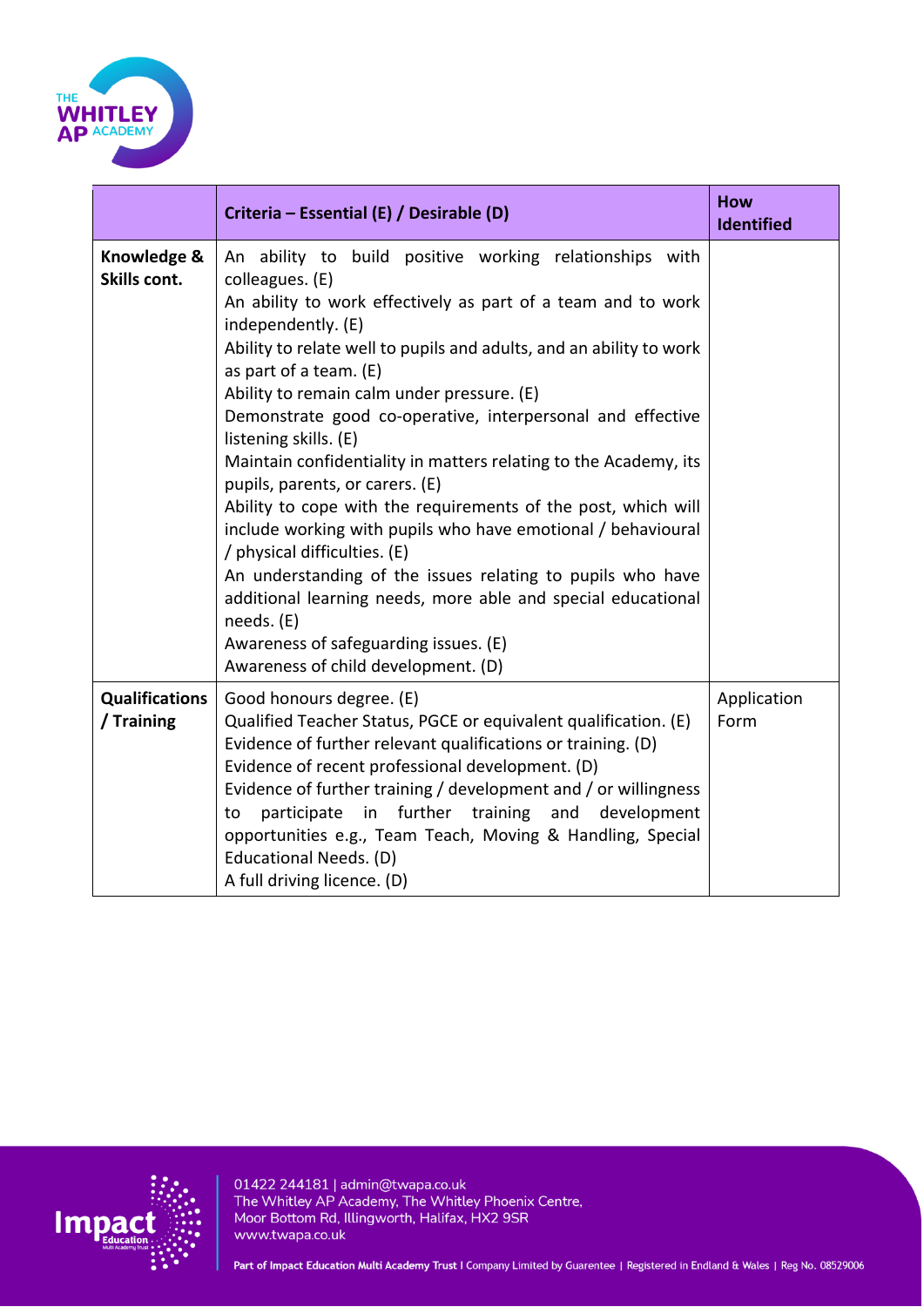

|                                     | Criteria – Essential (E) / Desirable (D)                                                                                                                                                                                                                                                                                                                                                                                                                                                                                                                                                                                                                                                                                                                                                                                                                                                                   | <b>How</b><br><b>Identified</b> |
|-------------------------------------|------------------------------------------------------------------------------------------------------------------------------------------------------------------------------------------------------------------------------------------------------------------------------------------------------------------------------------------------------------------------------------------------------------------------------------------------------------------------------------------------------------------------------------------------------------------------------------------------------------------------------------------------------------------------------------------------------------------------------------------------------------------------------------------------------------------------------------------------------------------------------------------------------------|---------------------------------|
| Knowledge &<br>Skills cont.         | An ability to build positive working relationships with<br>colleagues. (E)<br>An ability to work effectively as part of a team and to work<br>independently. (E)<br>Ability to relate well to pupils and adults, and an ability to work<br>as part of a team. (E)<br>Ability to remain calm under pressure. (E)<br>Demonstrate good co-operative, interpersonal and effective<br>listening skills. (E)<br>Maintain confidentiality in matters relating to the Academy, its<br>pupils, parents, or carers. (E)<br>Ability to cope with the requirements of the post, which will<br>include working with pupils who have emotional / behavioural<br>/ physical difficulties. (E)<br>An understanding of the issues relating to pupils who have<br>additional learning needs, more able and special educational<br>needs. (E)<br>Awareness of safeguarding issues. (E)<br>Awareness of child development. (D) |                                 |
| <b>Qualifications</b><br>/ Training | Good honours degree. (E)<br>Qualified Teacher Status, PGCE or equivalent qualification. (E)<br>Evidence of further relevant qualifications or training. (D)<br>Evidence of recent professional development. (D)<br>Evidence of further training / development and / or willingness<br>further training and<br>participate in<br>to<br>development<br>opportunities e.g., Team Teach, Moving & Handling, Special<br>Educational Needs. (D)<br>A full driving licence. (D)                                                                                                                                                                                                                                                                                                                                                                                                                                   | Application<br>Form             |

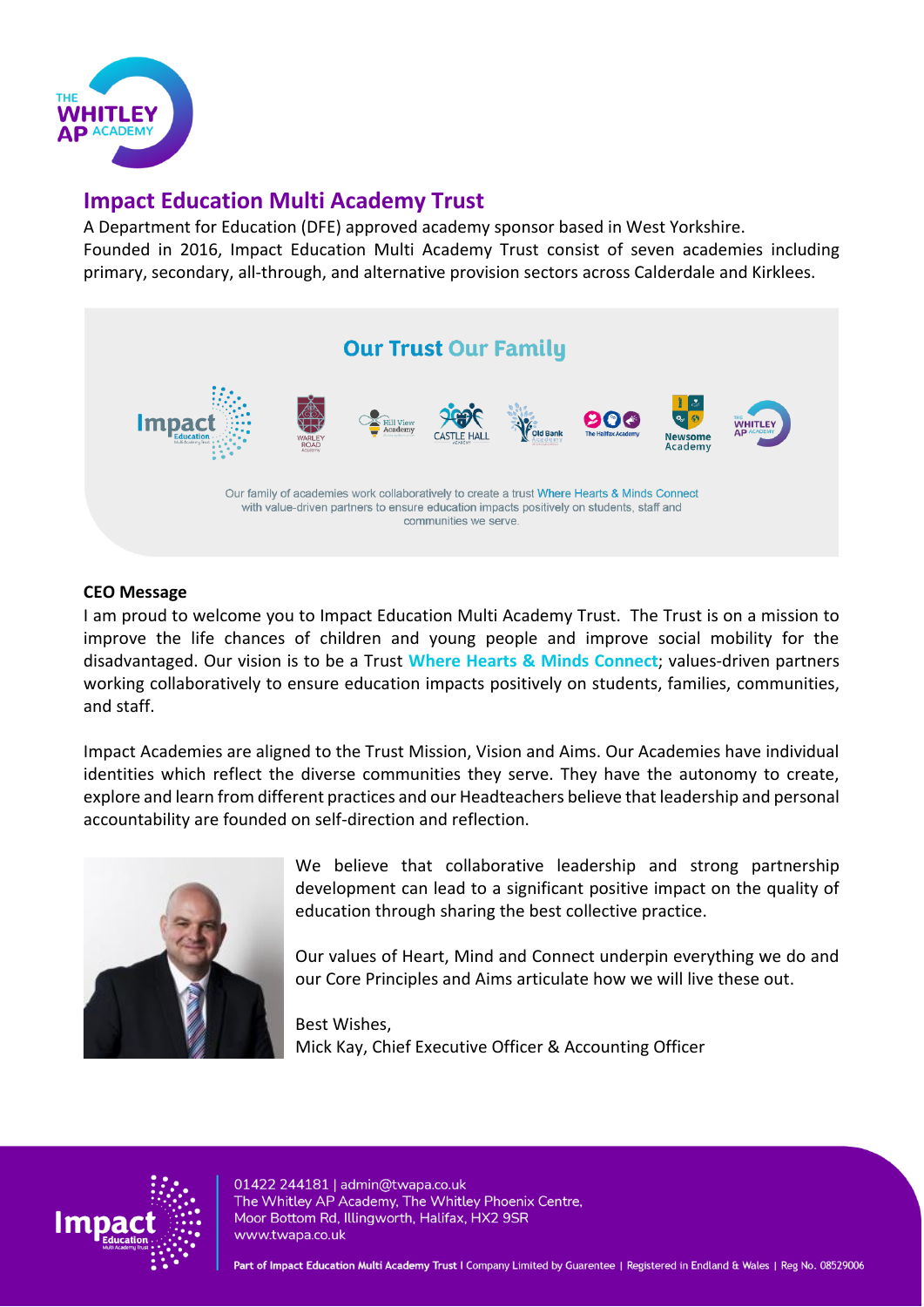

## **Impact Education Multi Academy Trust**

A Department for Education (DFE) approved academy sponsor based in West Yorkshire. Founded in 2016, Impact Education Multi Academy Trust consist of seven academies including primary, secondary, all-through, and alternative provision sectors across Calderdale and Kirklees.



#### **CEO Message**

I am proud to welcome you to Impact Education Multi Academy Trust. The Trust is on a mission to improve the life chances of children and young people and improve social mobility for the disadvantaged. Our vision is to be a Trust **Where Hearts & Minds Connect**; values-driven partners working collaboratively to ensure education impacts positively on students, families, communities, and staff.

Impact Academies are aligned to the Trust Mission, Vision and Aims. Our Academies have individual identities which reflect the diverse communities they serve. They have the autonomy to create, explore and learn from different practices and our Headteachers believe that leadership and personal accountability are founded on self-direction and reflection.



We believe that collaborative leadership and strong partnership development can lead to a significant positive impact on the quality of education through sharing the best collective practice.

Our values of Heart, Mind and Connect underpin everything we do and our Core Principles and Aims articulate how we will live these out.

Best Wishes, Mick Kay, Chief Executive Officer & Accounting Officer